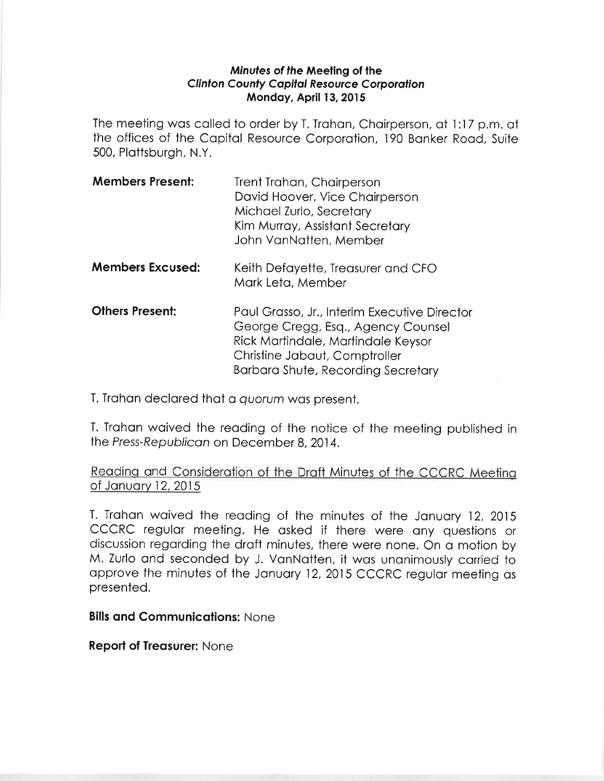## Minutes of the Meeting of the **Clinton County Capital Resource Corporation** Mondoy, April 13,2015

The meeting wos colled to order by T, Trohon, Choirperson, of l:17 p.m. ot the offices of the Copitol Resource Corporotion, 190 Bonker Rood, Suite 500, Plottsburgh, N.Y.

| <b>Members Present:</b> | Trent Trahan, Chairperson<br>David Hoover, Vice Chairperson<br>Michael Zurlo, Secretary<br>Kim Murray, Assistant Secretary<br>John VanNatten, Member |
|-------------------------|------------------------------------------------------------------------------------------------------------------------------------------------------|
| <b>Members Excused:</b> | Keith Defayette, Treasurer and CFO                                                                                                                   |

Mork Leto, Member **Others Present:** Paul Grasso, Jr., Interim Executive Director George Cregg, Esq., Agency Counsel

Ríck Mortindole, Mortindole Keysor Christine Jobout, Comptroller Borboro Shute, Recording Secretory

T. Trohon declored thot o quorum wos present.

T. Trahan waived the reading of the notice of the meeting published in the Press-Republican on December 8, 2014.

Reading and Consideration of the Draft Minutes of the CCCRC Meeting of January 12, 2015

T. Trahan waived the reading of the minutes of the January 12, 2015 cccRc regulor meeting. He osked if there were ony questions or discussion regarding the draft minutes, there were none. On a motion by M, Zurlo ond seconded by J. VonNotten, it wos unonimously corried to approve the minutes of the January 12, 2015 CCCRC regular meeting as presented.

**Bills and Communications: None** 

**Report of Treasurer: None**